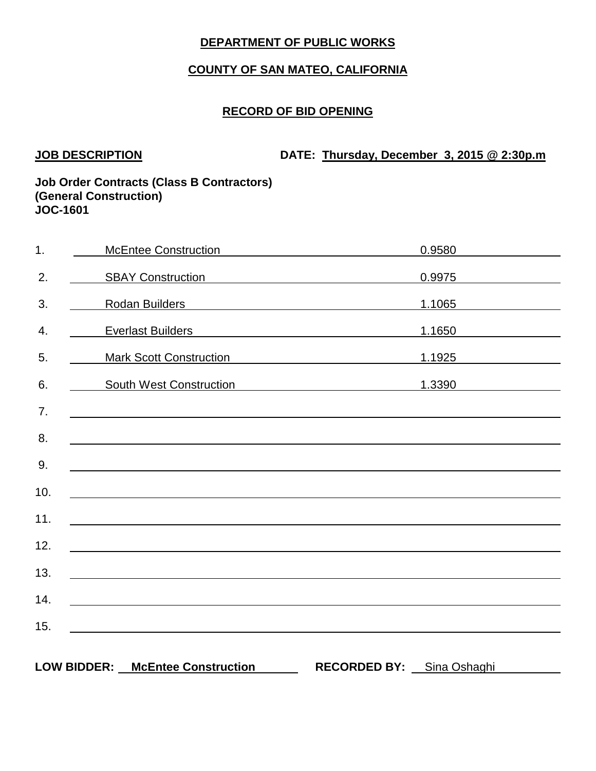# **COUNTY OF SAN MATEO, CALIFORNIA**

## **RECORD OF BID OPENING**

**JOB DESCRIPTION DATE: Thursday, December 3, 2015 @ 2:30p.m**

| 1.  | <b>McEntee Construction</b>                                                                                                                                                                                                          | 0.9580                              |  |
|-----|--------------------------------------------------------------------------------------------------------------------------------------------------------------------------------------------------------------------------------------|-------------------------------------|--|
| 2.  | SBAY Construction <b>SBAY</b> Construction                                                                                                                                                                                           | 0.9975                              |  |
| 3.  | Rodan Builders <b>Manual Accord Product Contract Contract Contract Contract Contract Contract Contract Contract Contract Contract Contract Contract Contract Contract Contract Contract Contract Contract Contract Contract Cont</b> | 1.1065                              |  |
| 4.  | <b>Everlast Builders</b>                                                                                                                                                                                                             | 1.1650                              |  |
| 5.  | <b>Mark Scott Construction</b>                                                                                                                                                                                                       | 1.1925                              |  |
| 6.  | South West Construction                                                                                                                                                                                                              | 1.3390                              |  |
| 7.  | <u> 1989 - Johann Stoff, deutscher Stoff, der Stoff, der Stoff, der Stoff, der Stoff, der Stoff, der Stoff, der S</u>                                                                                                                |                                     |  |
| 8.  |                                                                                                                                                                                                                                      |                                     |  |
| 9.  | <u> 1989 - Johann Barbara, martxa alemaniar amerikan a</u>                                                                                                                                                                           |                                     |  |
| 10. |                                                                                                                                                                                                                                      |                                     |  |
| 11. | <u> 1989 - Johann Johann Harry Harry Harry Harry Harry Harry Harry Harry Harry Harry Harry Harry Harry Harry Harry</u>                                                                                                               |                                     |  |
| 12. |                                                                                                                                                                                                                                      |                                     |  |
| 13. |                                                                                                                                                                                                                                      |                                     |  |
| 14. | <u> 1989 - Johann Stoff, deutscher Stoffen und der Stoffen und der Stoffen und der Stoffen und der Stoffen und der</u>                                                                                                               |                                     |  |
|     |                                                                                                                                                                                                                                      |                                     |  |
| 15. |                                                                                                                                                                                                                                      |                                     |  |
|     | <b>LOW BIDDER:</b><br><b>McEntee Construction</b>                                                                                                                                                                                    | <b>RECORDED BY:</b><br>Sina Oshaghi |  |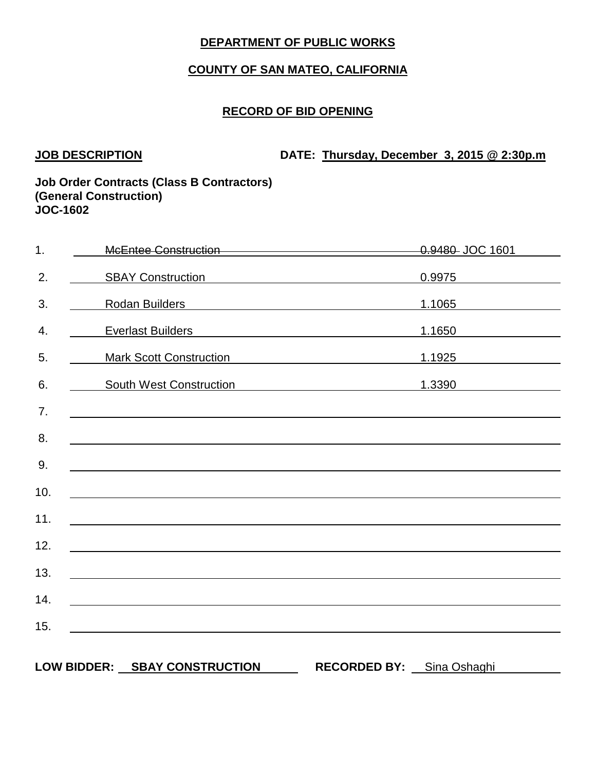# **COUNTY OF SAN MATEO, CALIFORNIA**

## **RECORD OF BID OPENING**

**JOB DESCRIPTION DATE: Thursday, December 3, 2015 @ 2:30p.m**

| 1.  | McEntee Construction<br>McEntee Construction                                                                                                                                                                                         |                                                                                                                       | 0.9480 JOC 1601 |
|-----|--------------------------------------------------------------------------------------------------------------------------------------------------------------------------------------------------------------------------------------|-----------------------------------------------------------------------------------------------------------------------|-----------------|
| 2.  | SBAY Construction <b>SBAY</b> Construction                                                                                                                                                                                           |                                                                                                                       | 0.9975          |
| 3.  | Rodan Builders <b>Manual Accord Product Contract Contract Contract Contract Contract Contract Contract Contract Contract Contract Contract Contract Contract Contract Contract Contract Contract Contract Contract Contract Cont</b> |                                                                                                                       | 1.1065          |
| 4.  | <b>Everlast Builders</b>                                                                                                                                                                                                             | <u> 1980 - Johann Barn, mars ann an t-Amhain Aonaich an t-Aonaich an t-Aonaich an t-Aonaich an t-Aonaich an t-Aon</u> | 1.1650          |
| 5.  | <b>Mark Scott Construction</b>                                                                                                                                                                                                       |                                                                                                                       | 1.1925          |
| 6.  | <b>South West Construction</b>                                                                                                                                                                                                       |                                                                                                                       | 1.3390          |
| 7.  | ,我们也不会有什么。""我们的人,我们也不会有什么?""我们的人,我们也不会有什么?""我们的人,我们的人,我们的人,我们的人,我们的人,我们的人,我们的人,我                                                                                                                                                     |                                                                                                                       |                 |
| 8.  |                                                                                                                                                                                                                                      |                                                                                                                       |                 |
| 9.  |                                                                                                                                                                                                                                      |                                                                                                                       |                 |
| 10. | <u> 1989 - Andrea Andrew Maria (h. 1989).</u><br>1905 - Andrew Maria (h. 1906).                                                                                                                                                      |                                                                                                                       |                 |
| 11. |                                                                                                                                                                                                                                      |                                                                                                                       |                 |
| 12. |                                                                                                                                                                                                                                      |                                                                                                                       |                 |
| 13. | <u> 1989 - Johann Stoff, deutscher Stoffen und der Stoffen und der Stoffen und der Stoffen und der Stoffen und der</u>                                                                                                               |                                                                                                                       |                 |
| 14. |                                                                                                                                                                                                                                      |                                                                                                                       |                 |
| 15. |                                                                                                                                                                                                                                      |                                                                                                                       |                 |
|     |                                                                                                                                                                                                                                      |                                                                                                                       |                 |
|     | LOW BIDDER: SBAY CONSTRUCTION                                                                                                                                                                                                        | <b>RECORDED BY:</b>                                                                                                   | Sina Oshaghi    |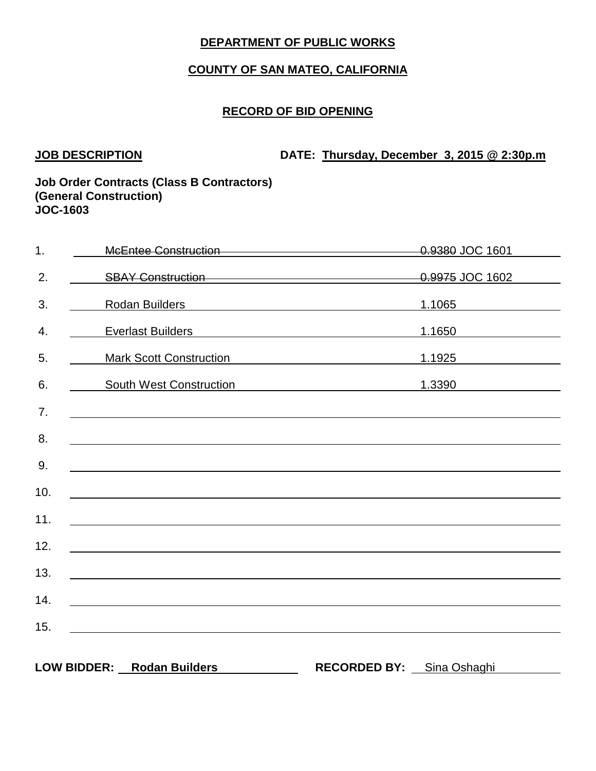# **COUNTY OF SAN MATEO, CALIFORNIA**

## **RECORD OF BID OPENING**

**JOB DESCRIPTION DATE: Thursday, December 3, 2015 @ 2:30p.m**

| 1.  | McEntee Construction McEntee Construction                                                                                                                                                                                      |                                                                     | 0.9380 JOC 1601 |
|-----|--------------------------------------------------------------------------------------------------------------------------------------------------------------------------------------------------------------------------------|---------------------------------------------------------------------|-----------------|
| 2.  | SBAY Construction<br>GBAY Construction<br>GBAY Construction                                                                                                                                                                    |                                                                     |                 |
| 3.  | Rodan Builders and the contract of the contract of the contract of the contract of the contract of the contract of the contract of the contract of the contract of the contract of the contract of the contract of the contrac |                                                                     | 1.1065          |
| 4.  | <b>Everlast Builders</b>                                                                                                                                                                                                       | <u> 1989 - Johann Stein, mars an deus Amerikaansk kommunister (</u> | 1.1650          |
| 5.  | <b>Mark Scott Construction</b>                                                                                                                                                                                                 |                                                                     | 1.1925          |
| 6.  | South West Construction<br>South West Construction                                                                                                                                                                             |                                                                     | 1.3390          |
| 7.  | ,我们也不能在这里的时候,我们也不能在这里的时候,我们也不能会不能会不能会不能会不能会不能会不能会不能会不能会不能会。<br>第2012章 我们的时候,我们的时候,我们的时候,我们的时候,我们的时候,我们的时候,我们的时候,我们的时候,我们的时候,我们的时候,我们的时候,我们的时候,我                                                                                |                                                                     |                 |
| 8.  |                                                                                                                                                                                                                                |                                                                     |                 |
| 9.  |                                                                                                                                                                                                                                |                                                                     |                 |
| 10. |                                                                                                                                                                                                                                |                                                                     |                 |
| 11. |                                                                                                                                                                                                                                |                                                                     |                 |
| 12. |                                                                                                                                                                                                                                |                                                                     |                 |
| 13. | <u> 1989 - Johann Barn, mars and de Brasilian (b. 1989)</u>                                                                                                                                                                    |                                                                     |                 |
| 14. |                                                                                                                                                                                                                                |                                                                     |                 |
| 15. |                                                                                                                                                                                                                                |                                                                     |                 |
|     | <u>and the contract of the contract of the contract of the contract of the contract of the contract of</u>                                                                                                                     |                                                                     |                 |
|     | <b>LOW BIDDER:</b><br><b>Rodan Builders</b>                                                                                                                                                                                    | <b>RECORDED BY:</b>                                                 | Sina Oshaghi    |